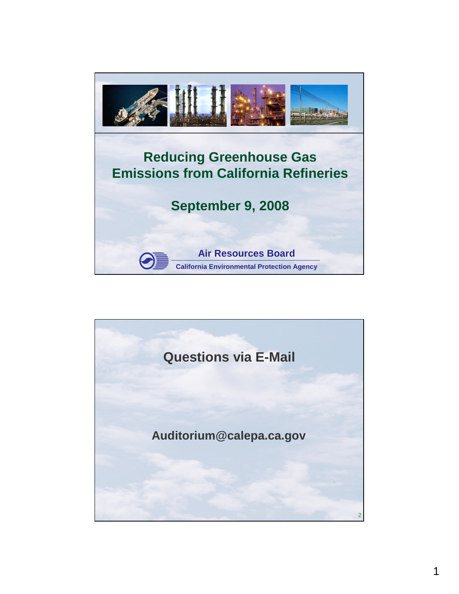

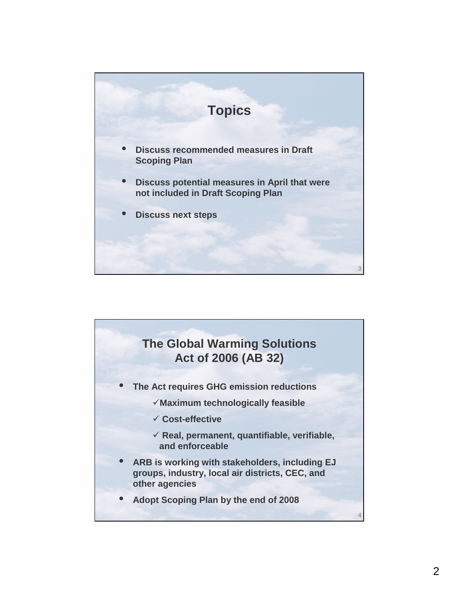

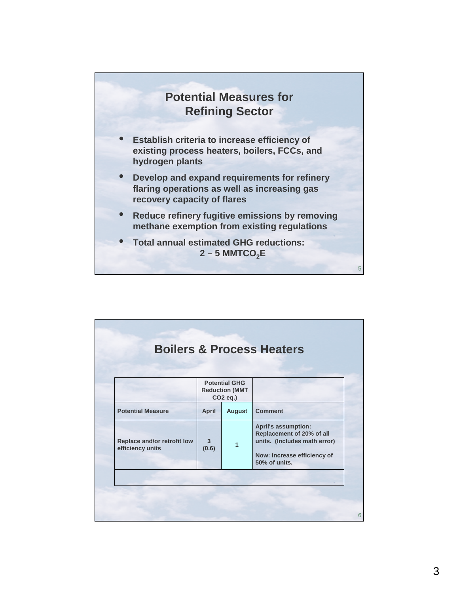

|                                                 | <b>Potential GHG</b><br><b>Reduction (MMT</b><br>CO <sub>2</sub> eq.) |               |                                                                                                                                         |
|-------------------------------------------------|-----------------------------------------------------------------------|---------------|-----------------------------------------------------------------------------------------------------------------------------------------|
| <b>Potential Measure</b>                        | <b>April</b>                                                          | <b>August</b> | <b>Comment</b>                                                                                                                          |
| Replace and/or retrofit low<br>efficiency units | $\overline{\mathbf{3}}$<br>(0.6)                                      | 1             | <b>April's assumption:</b><br>Replacement of 20% of all<br>units. (Includes math error)<br>Now: Increase efficiency of<br>50% of units. |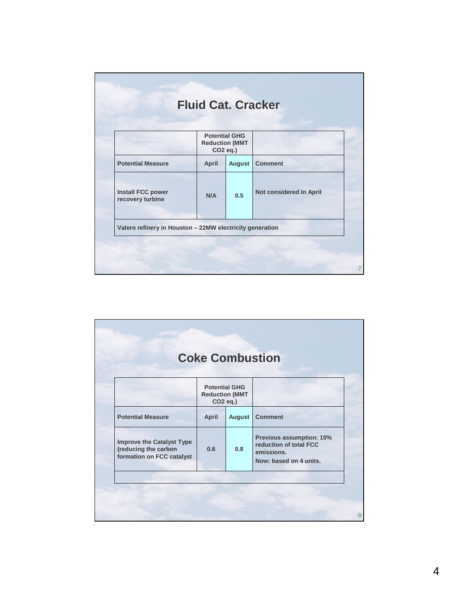|                                              | <b>Potential GHG</b>                          |               |                         |
|----------------------------------------------|-----------------------------------------------|---------------|-------------------------|
|                                              | <b>Reduction (MMT</b><br>CO <sub>2</sub> eq.) |               |                         |
| <b>Potential Measure</b>                     | <b>April</b>                                  | <b>August</b> | <b>Comment</b>          |
| <b>Install FCC power</b><br>recovery turbine | N/A                                           | 0.5           | Not considered in April |

|                                                                                       |              | <b>Potential GHG</b><br><b>Reduction (MMT</b><br>CO <sub>2</sub> eq.) |                                                                                            |
|---------------------------------------------------------------------------------------|--------------|-----------------------------------------------------------------------|--------------------------------------------------------------------------------------------|
| <b>Potential Measure</b>                                                              | <b>April</b> | <b>August</b>                                                         | <b>Comment</b>                                                                             |
| <b>Improve the Catalyst Type</b><br>(reducing the carbon<br>formation on FCC catalyst | 0.6          | 0.8                                                                   | Previous assumption: 10%<br>reduction of total FCC<br>emissions.<br>Now: based on 4 units. |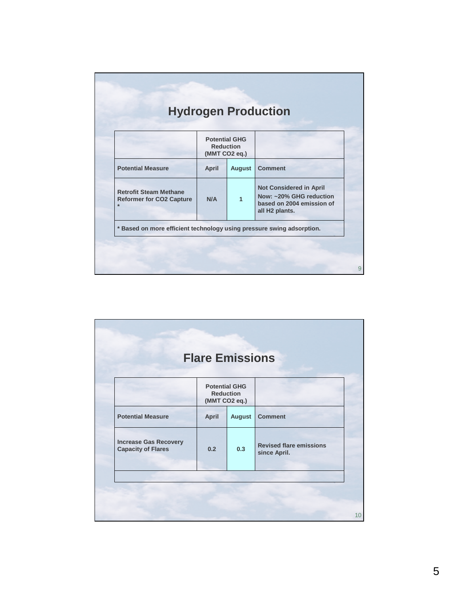|                                                                             | <b>Potential GHG</b><br><b>Reduction</b><br>(MMT CO2 eq.) |               |                                                                                                                      |
|-----------------------------------------------------------------------------|-----------------------------------------------------------|---------------|----------------------------------------------------------------------------------------------------------------------|
| <b>Potential Measure</b>                                                    | <b>April</b>                                              | <b>August</b> | <b>Comment</b>                                                                                                       |
| <b>Retrofit Steam Methane</b><br><b>Reformer for CO2 Capture</b><br>$\star$ | N/A                                                       | 1             | <b>Not Considered in April</b><br>Now: ~20% GHG reduction<br>based on 2004 emission of<br>all H <sub>2</sub> plants. |

|                                                           | (MMT CO2 eq.) | <b>Potential GHG</b><br><b>Reduction</b> |                                                |
|-----------------------------------------------------------|---------------|------------------------------------------|------------------------------------------------|
| <b>Potential Measure</b>                                  | <b>April</b>  | <b>August</b>                            | <b>Comment</b>                                 |
| <b>Increase Gas Recovery</b><br><b>Capacity of Flares</b> | 0.2           | 0.3                                      | <b>Revised flare emissions</b><br>since April. |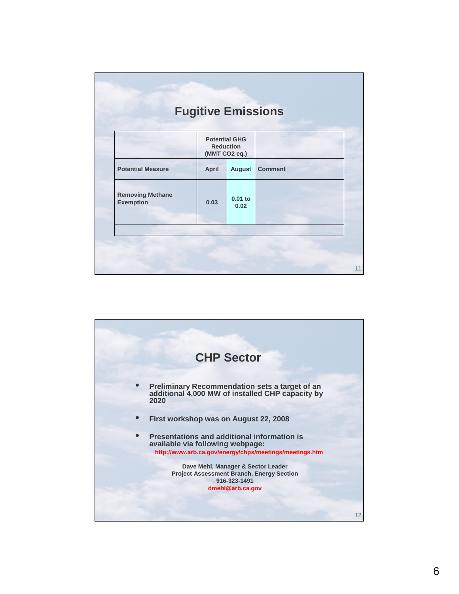|                                             | <b>Potential GHG</b><br><b>Reduction</b> | (MMT CO2 eq.)     |                |  |
|---------------------------------------------|------------------------------------------|-------------------|----------------|--|
| <b>Potential Measure</b>                    | <b>April</b>                             | <b>August</b>     | <b>Comment</b> |  |
| <b>Removing Methane</b><br><b>Exemption</b> | 0.03                                     | $0.01$ to<br>0.02 |                |  |

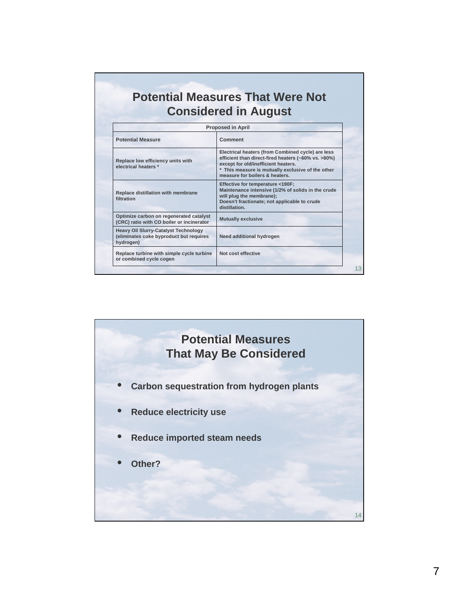## **Potential Measures That Were Not Considered in August**

| <b>Proposed in April</b>                                                                            |                                                                                                                                                                                                                                        |  |  |  |
|-----------------------------------------------------------------------------------------------------|----------------------------------------------------------------------------------------------------------------------------------------------------------------------------------------------------------------------------------------|--|--|--|
| <b>Potential Measure</b>                                                                            | Comment                                                                                                                                                                                                                                |  |  |  |
| Replace low efficiency units with<br>electrical heaters *                                           | Electrical heaters (from Combined cycle) are less<br>efficient than direct-fired heaters (~60% vs. >80%)<br>except for old/inefficient heaters.<br>* This measure is mutually exclusive of the other<br>measure for boilers & heaters. |  |  |  |
| Replace distillation with membrane<br>filtration                                                    | Effective for temperature <190F;<br>Maintenance intensive (1/2% of solids in the crude<br>will plug the membrane);<br>Doesn't fractionate; not applicable to crude<br>distillation.                                                    |  |  |  |
| Optimize carbon on regenerated catalyst<br>(CRC) ratio with CO boiler or incinerator                | <b>Mutually exclusive</b>                                                                                                                                                                                                              |  |  |  |
| <b>Heavy Oil Slurry-Catalyst Technology</b><br>(eliminates coke byproduct but requires<br>hydrogen) | Need additional hydrogen                                                                                                                                                                                                               |  |  |  |
| Replace turbine with simple cycle turbine<br>or combined cycle cogen                                | Not cost effective                                                                                                                                                                                                                     |  |  |  |
|                                                                                                     |                                                                                                                                                                                                                                        |  |  |  |

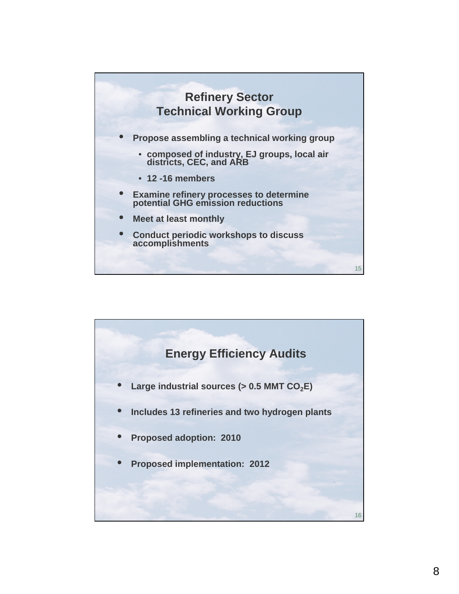